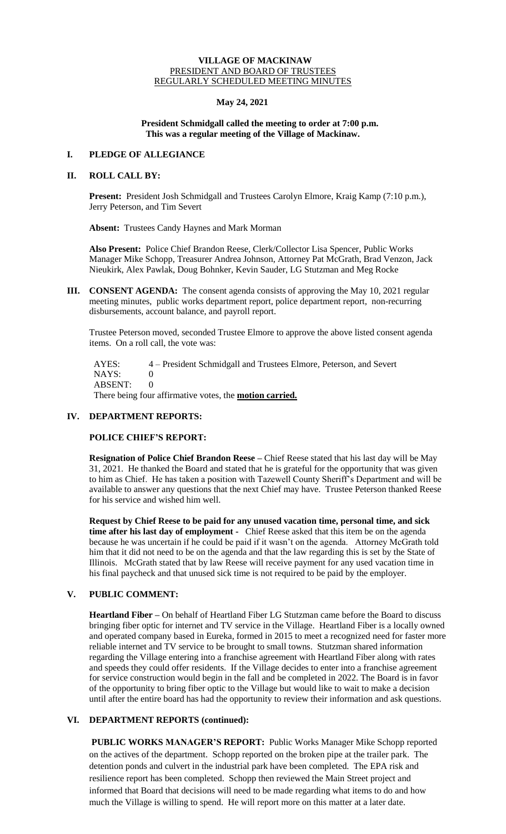### **VILLAGE OF MACKINAW** PRESIDENT AND BOARD OF TRUSTEES REGULARLY SCHEDULED MEETING MINUTES

## **May 24, 2021**

### **President Schmidgall called the meeting to order at 7:00 p.m. This was a regular meeting of the Village of Mackinaw.**

## **I. PLEDGE OF ALLEGIANCE**

# **II. ROLL CALL BY:**

**Present:** President Josh Schmidgall and Trustees Carolyn Elmore, Kraig Kamp (7:10 p.m.), Jerry Peterson, and Tim Severt

**Absent:** Trustees Candy Haynes and Mark Morman

**Also Present:** Police Chief Brandon Reese, Clerk/Collector Lisa Spencer, Public Works Manager Mike Schopp, Treasurer Andrea Johnson, Attorney Pat McGrath, Brad Venzon, Jack Nieukirk, Alex Pawlak, Doug Bohnker, Kevin Sauder, LG Stutzman and Meg Rocke

**III. CONSENT AGENDA:** The consent agenda consists of approving the May 10, 2021 regular meeting minutes, public works department report, police department report, non-recurring disbursements, account balance, and payroll report.

Trustee Peterson moved, seconded Trustee Elmore to approve the above listed consent agenda items. On a roll call, the vote was:

 AYES: 4 – President Schmidgall and Trustees Elmore, Peterson, and Severt  $NAYS: 0$ ABSENT: 0 There being four affirmative votes, the **motion carried.**

## **IV. DEPARTMENT REPORTS:**

## **POLICE CHIEF'S REPORT:**

**Resignation of Police Chief Brandon Reese –** Chief Reese stated that his last day will be May 31, 2021. He thanked the Board and stated that he is grateful for the opportunity that was given to him as Chief. He has taken a position with Tazewell County Sheriff's Department and will be available to answer any questions that the next Chief may have. Trustee Peterson thanked Reese for his service and wished him well.

**Request by Chief Reese to be paid for any unused vacation time, personal time, and sick time after his last day of employment -** Chief Reese asked that this item be on the agenda because he was uncertain if he could be paid if it wasn't on the agenda. Attorney McGrath told him that it did not need to be on the agenda and that the law regarding this is set by the State of Illinois. McGrath stated that by law Reese will receive payment for any used vacation time in his final paycheck and that unused sick time is not required to be paid by the employer.

## **V. PUBLIC COMMENT:**

**Heartland Fiber –** On behalf of Heartland Fiber LG Stutzman came before the Board to discuss bringing fiber optic for internet and TV service in the Village. Heartland Fiber is a locally owned and operated company based in Eureka, formed in 2015 to meet a recognized need for faster more reliable internet and TV service to be brought to small towns. Stutzman shared information regarding the Village entering into a franchise agreement with Heartland Fiber along with rates and speeds they could offer residents. If the Village decides to enter into a franchise agreement for service construction would begin in the fall and be completed in 2022. The Board is in favor of the opportunity to bring fiber optic to the Village but would like to wait to make a decision until after the entire board has had the opportunity to review their information and ask questions.

## **VI. DEPARTMENT REPORTS (continued):**

**PUBLIC WORKS MANAGER'S REPORT:** Public Works Manager Mike Schopp reported on the actives of the department. Schopp reported on the broken pipe at the trailer park. The detention ponds and culvert in the industrial park have been completed. The EPA risk and resilience report has been completed. Schopp then reviewed the Main Street project and informed that Board that decisions will need to be made regarding what items to do and how much the Village is willing to spend. He will report more on this matter at a later date.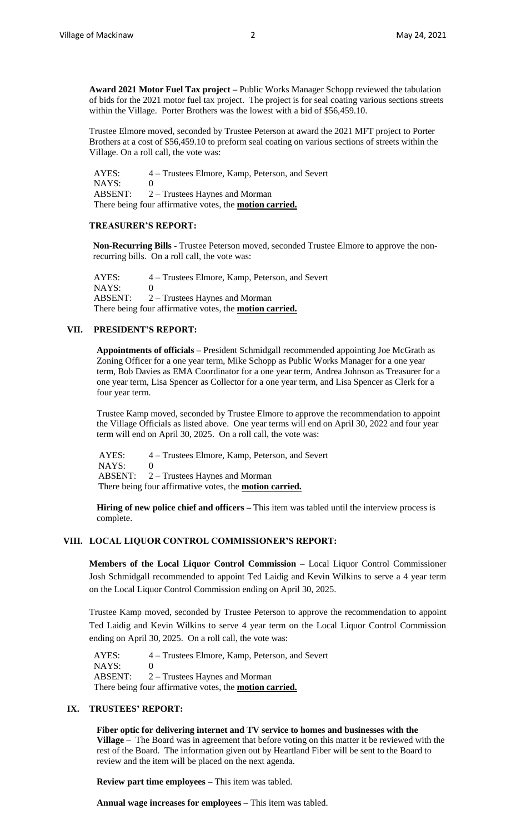**Award 2021 Motor Fuel Tax project –** Public Works Manager Schopp reviewed the tabulation of bids for the 2021 motor fuel tax project. The project is for seal coating various sections streets within the Village. Porter Brothers was the lowest with a bid of \$56,459.10.

Trustee Elmore moved, seconded by Trustee Peterson at award the 2021 MFT project to Porter Brothers at a cost of \$56,459.10 to preform seal coating on various sections of streets within the Village. On a roll call, the vote was:

 AYES: 4 – Trustees Elmore, Kamp, Peterson, and Severt NAYS: 0 ABSENT: 2 – Trustees Haynes and Morman There being four affirmative votes, the **motion carried.**

### **TREASURER'S REPORT:**

**Non-Recurring Bills -** Trustee Peterson moved, seconded Trustee Elmore to approve the nonrecurring bills. On a roll call, the vote was:

 AYES: 4 – Trustees Elmore, Kamp, Peterson, and Severt NAYS: 0 ABSENT: 2 – Trustees Haynes and Morman There being four affirmative votes, the **motion carried.**

#### **VII. PRESIDENT'S REPORT:**

**Appointments of officials –** President Schmidgall recommended appointing Joe McGrath as Zoning Officer for a one year term, Mike Schopp as Public Works Manager for a one year term, Bob Davies as EMA Coordinator for a one year term, Andrea Johnson as Treasurer for a one year term, Lisa Spencer as Collector for a one year term, and Lisa Spencer as Clerk for a four year term.

Trustee Kamp moved, seconded by Trustee Elmore to approve the recommendation to appoint the Village Officials as listed above. One year terms will end on April 30, 2022 and four year term will end on April 30, 2025. On a roll call, the vote was:

AYES: 4 – Trustees Elmore, Kamp, Peterson, and Severt  $NAYS: 0$  ABSENT: 2 – Trustees Haynes and Morman There being four affirmative votes, the **motion carried.**

**Hiring of new police chief and officers –** This item was tabled until the interview process is complete.

### **VIII. LOCAL LIQUOR CONTROL COMMISSIONER'S REPORT:**

**Members of the Local Liquor Control Commission –** Local Liquor Control Commissioner Josh Schmidgall recommended to appoint Ted Laidig and Kevin Wilkins to serve a 4 year term on the Local Liquor Control Commission ending on April 30, 2025.

Trustee Kamp moved, seconded by Trustee Peterson to approve the recommendation to appoint Ted Laidig and Kevin Wilkins to serve 4 year term on the Local Liquor Control Commission ending on April 30, 2025. On a roll call, the vote was:

 AYES: 4 – Trustees Elmore, Kamp, Peterson, and Severt NAYS: 0 ABSENT: 2 – Trustees Haynes and Morman There being four affirmative votes, the **motion carried.**

### **IX. TRUSTEES' REPORT:**

**Fiber optic for delivering internet and TV service to homes and businesses with the Village –** The Board was in agreement that before voting on this matter it be reviewed with the rest of the Board. The information given out by Heartland Fiber will be sent to the Board to review and the item will be placed on the next agenda.

**Review part time employees –** This item was tabled.

**Annual wage increases for employees –** This item was tabled.